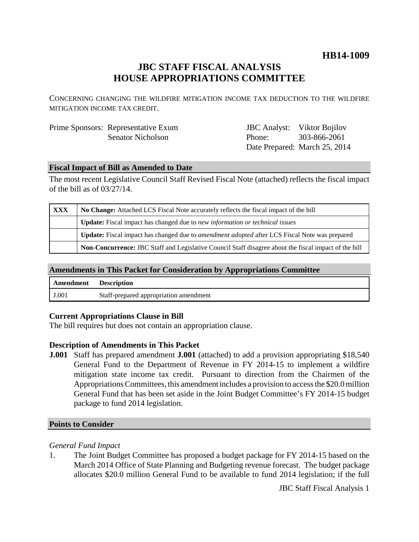## **HB14-1009**

## **JBC STAFF FISCAL ANALYSIS HOUSE APPROPRIATIONS COMMITTEE**

CONCERNING CHANGING THE WILDFIRE MITIGATION INCOME TAX DEDUCTION TO THE WILDFIRE MITIGATION INCOME TAX CREDIT.

| Prime Sponsors: Representative Exum | <b>JBC</b> Analyst: Viktor Bojilov |                               |
|-------------------------------------|------------------------------------|-------------------------------|
| <b>Senator Nicholson</b>            | Phone:                             | 303-866-2061                  |
|                                     |                                    | Date Prepared: March 25, 2014 |

#### **Fiscal Impact of Bill as Amended to Date**

The most recent Legislative Council Staff Revised Fiscal Note (attached) reflects the fiscal impact of the bill as of 03/27/14.

| <b>XXX</b> | No Change: Attached LCS Fiscal Note accurately reflects the fiscal impact of the bill                 |  |
|------------|-------------------------------------------------------------------------------------------------------|--|
|            | <b>Update:</b> Fiscal impact has changed due to new information or technical issues                   |  |
|            | Update: Fiscal impact has changed due to <i>amendment adopted</i> after LCS Fiscal Note was prepared  |  |
|            | Non-Concurrence: JBC Staff and Legislative Council Staff disagree about the fiscal impact of the bill |  |

### **Amendments in This Packet for Consideration by Appropriations Committee**

| Amendment Description |                                        |
|-----------------------|----------------------------------------|
| J.001                 | Staff-prepared appropriation amendment |

#### **Current Appropriations Clause in Bill**

The bill requires but does not contain an appropriation clause.

#### **Description of Amendments in This Packet**

**J.001** Staff has prepared amendment **J.001** (attached) to add a provision appropriating \$18,540 General Fund to the Department of Revenue in FY 2014-15 to implement a wildfire mitigation state income tax credit. Pursuant to direction from the Chairmen of the Appropriations Committees, this amendment includes a provision to access the \$20.0 million General Fund that has been set aside in the Joint Budget Committee's FY 2014-15 budget package to fund 2014 legislation.

#### **Points to Consider**

#### *General Fund Impact*

1. The Joint Budget Committee has proposed a budget package for FY 2014-15 based on the March 2014 Office of State Planning and Budgeting revenue forecast. The budget package allocates \$20.0 million General Fund to be available to fund 2014 legislation; if the full

JBC Staff Fiscal Analysis 1